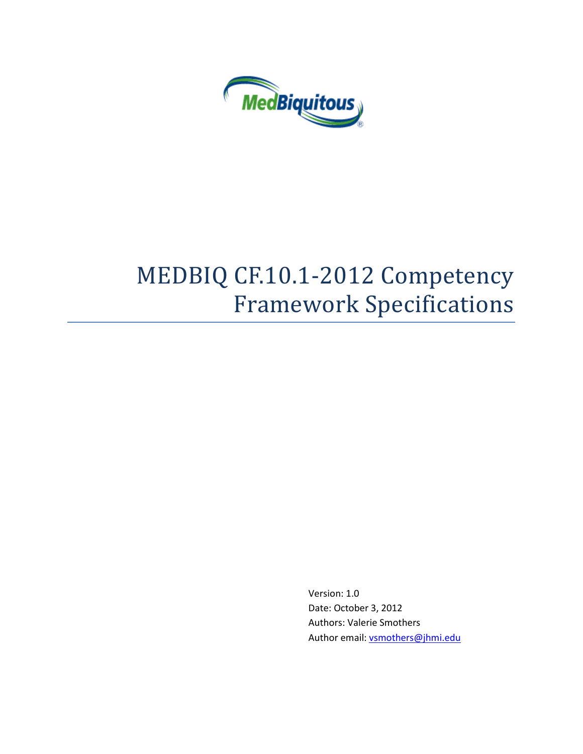

# MEDBIQ CF.10.1-2012 Competency Framework Specifications

Version: 1.0 Date: October 3, 2012 Authors: Valerie Smothers Author email[: vsmothers@jhmi.edu](mailto:vsmothers@jhmi.edu)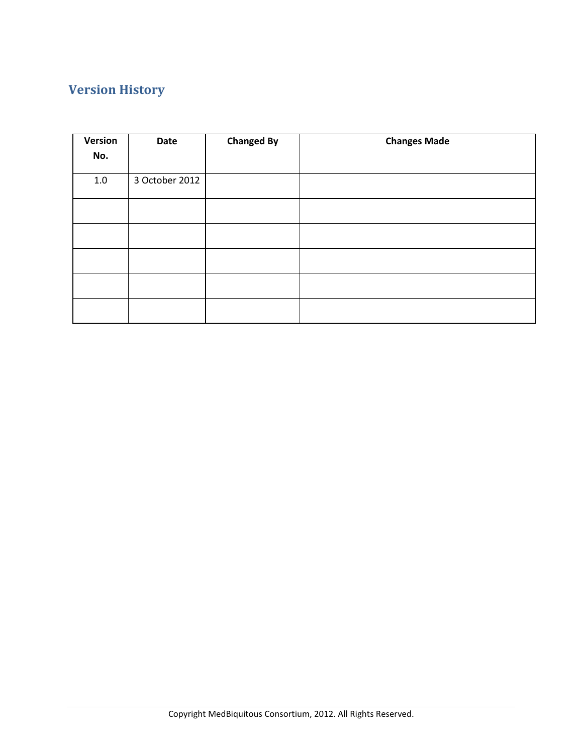# **Version History**

| Version<br>No. | Date           | <b>Changed By</b> | <b>Changes Made</b> |
|----------------|----------------|-------------------|---------------------|
| $1.0\,$        | 3 October 2012 |                   |                     |
|                |                |                   |                     |
|                |                |                   |                     |
|                |                |                   |                     |
|                |                |                   |                     |
|                |                |                   |                     |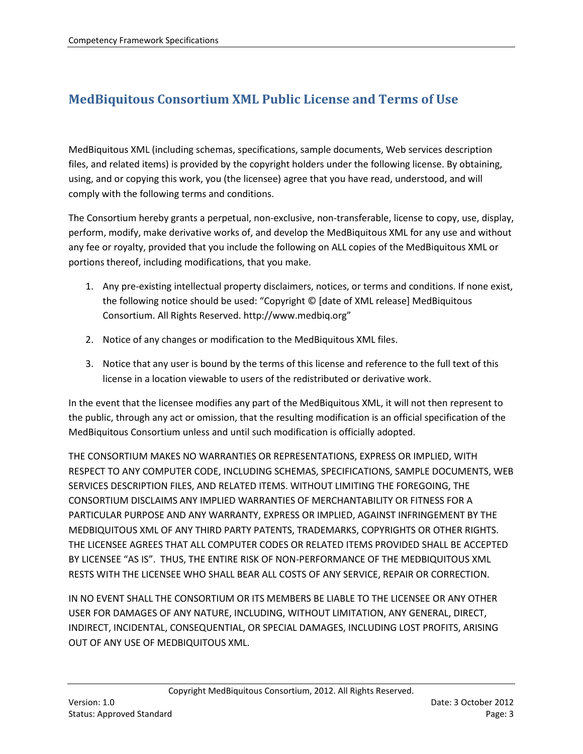# **MedBiquitous Consortium XML Public License and Terms of Use**

MedBiquitous XML (including schemas, specifications, sample documents, Web services description files, and related items) is provided by the copyright holders under the following license. By obtaining, using, and or copying this work, you (the licensee) agree that you have read, understood, and will comply with the following terms and conditions.

The Consortium hereby grants a perpetual, non-exclusive, non-transferable, license to copy, use, display, perform, modify, make derivative works of, and develop the MedBiquitous XML for any use and without any fee or royalty, provided that you include the following on ALL copies of the MedBiquitous XML or portions thereof, including modifications, that you make.

- 1. Any pre-existing intellectual property disclaimers, notices, or terms and conditions. If none exist, the following notice should be used: "Copyright © [date of XML release] MedBiquitous Consortium. All Rights Reserved. http://www.medbiq.org"
- 2. Notice of any changes or modification to the MedBiquitous XML files.
- 3. Notice that any user is bound by the terms of this license and reference to the full text of this license in a location viewable to users of the redistributed or derivative work.

In the event that the licensee modifies any part of the MedBiquitous XML, it will not then represent to the public, through any act or omission, that the resulting modification is an official specification of the MedBiquitous Consortium unless and until such modification is officially adopted.

THE CONSORTIUM MAKES NO WARRANTIES OR REPRESENTATIONS, EXPRESS OR IMPLIED, WITH RESPECT TO ANY COMPUTER CODE, INCLUDING SCHEMAS, SPECIFICATIONS, SAMPLE DOCUMENTS, WEB SERVICES DESCRIPTION FILES, AND RELATED ITEMS. WITHOUT LIMITING THE FOREGOING, THE CONSORTIUM DISCLAIMS ANY IMPLIED WARRANTIES OF MERCHANTABILITY OR FITNESS FOR A PARTICULAR PURPOSE AND ANY WARRANTY, EXPRESS OR IMPLIED, AGAINST INFRINGEMENT BY THE MEDBIQUITOUS XML OF ANY THIRD PARTY PATENTS, TRADEMARKS, COPYRIGHTS OR OTHER RIGHTS. THE LICENSEE AGREES THAT ALL COMPUTER CODES OR RELATED ITEMS PROVIDED SHALL BE ACCEPTED BY LICENSEE "AS IS". THUS, THE ENTIRE RISK OF NON-PERFORMANCE OF THE MEDBIQUITOUS XML RESTS WITH THE LICENSEE WHO SHALL BEAR ALL COSTS OF ANY SERVICE, REPAIR OR CORRECTION.

IN NO EVENT SHALL THE CONSORTIUM OR ITS MEMBERS BE LIABLE TO THE LICENSEE OR ANY OTHER USER FOR DAMAGES OF ANY NATURE, INCLUDING, WITHOUT LIMITATION, ANY GENERAL, DIRECT, INDIRECT, INCIDENTAL, CONSEQUENTIAL, OR SPECIAL DAMAGES, INCLUDING LOST PROFITS, ARISING OUT OF ANY USE OF MEDBIQUITOUS XML.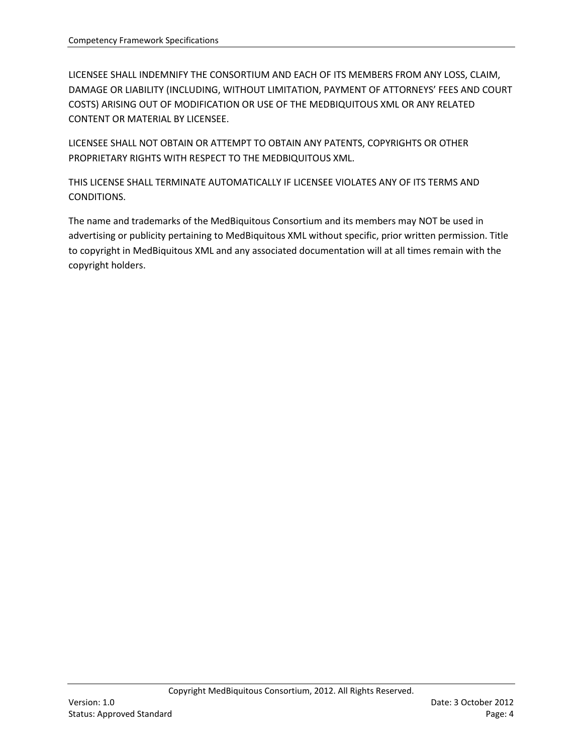LICENSEE SHALL INDEMNIFY THE CONSORTIUM AND EACH OF ITS MEMBERS FROM ANY LOSS, CLAIM, DAMAGE OR LIABILITY (INCLUDING, WITHOUT LIMITATION, PAYMENT OF ATTORNEYS' FEES AND COURT COSTS) ARISING OUT OF MODIFICATION OR USE OF THE MEDBIQUITOUS XML OR ANY RELATED CONTENT OR MATERIAL BY LICENSEE.

LICENSEE SHALL NOT OBTAIN OR ATTEMPT TO OBTAIN ANY PATENTS, COPYRIGHTS OR OTHER PROPRIETARY RIGHTS WITH RESPECT TO THE MEDBIQUITOUS XML.

THIS LICENSE SHALL TERMINATE AUTOMATICALLY IF LICENSEE VIOLATES ANY OF ITS TERMS AND CONDITIONS.

The name and trademarks of the MedBiquitous Consortium and its members may NOT be used in advertising or publicity pertaining to MedBiquitous XML without specific, prior written permission. Title to copyright in MedBiquitous XML and any associated documentation will at all times remain with the copyright holders.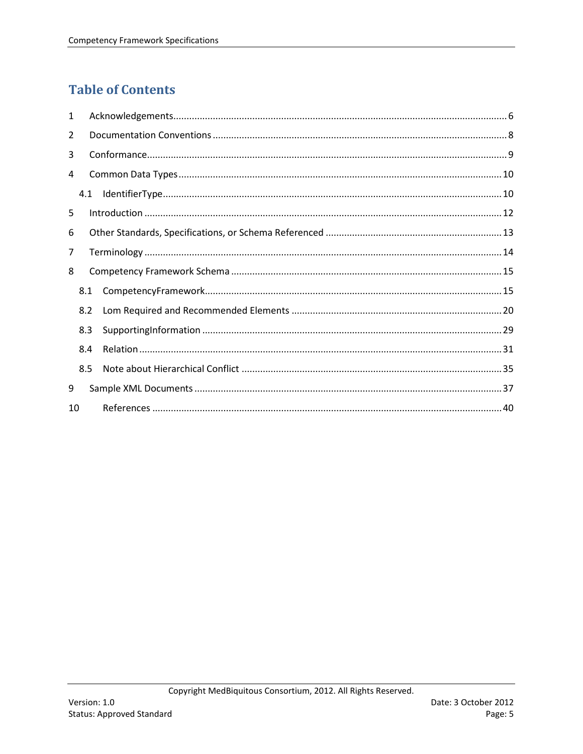# **Table of Contents**

| $\mathbf{1}$    |     |  |
|-----------------|-----|--|
| 2               |     |  |
| 3               |     |  |
| 4               |     |  |
|                 | 4.1 |  |
| 5               |     |  |
| 6               |     |  |
| 7               |     |  |
| 8               |     |  |
|                 | 8.1 |  |
|                 | 8.2 |  |
|                 | 8.3 |  |
|                 | 8.4 |  |
|                 | 8.5 |  |
| 9               |     |  |
| 10 <sup>1</sup> |     |  |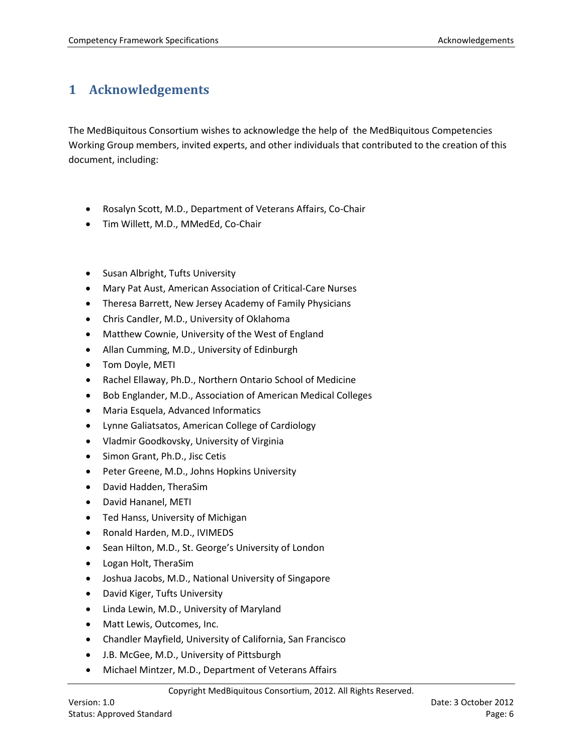# <span id="page-5-0"></span>**1 Acknowledgements**

The MedBiquitous Consortium wishes to acknowledge the help of the MedBiquitous Competencies Working Group members, invited experts, and other individuals that contributed to the creation of this document, including:

- Rosalyn Scott, M.D., Department of Veterans Affairs, Co-Chair
- Tim Willett, M.D., MMedEd, Co-Chair
- Susan Albright, Tufts University
- Mary Pat Aust, American Association of Critical-Care Nurses
- Theresa Barrett, New Jersey Academy of Family Physicians
- Chris Candler, M.D., University of Oklahoma
- Matthew Cownie, University of the West of England
- Allan Cumming, M.D., University of Edinburgh
- Tom Doyle, METI
- Rachel Ellaway, Ph.D., Northern Ontario School of Medicine
- Bob Englander, M.D., Association of American Medical Colleges
- Maria Esquela, Advanced Informatics
- Lynne Galiatsatos, American College of Cardiology
- Vladmir Goodkovsky, University of Virginia
- Simon Grant, Ph.D., Jisc Cetis
- Peter Greene, M.D., Johns Hopkins University
- David Hadden, TheraSim
- David Hananel, METI
- Ted Hanss, University of Michigan
- Ronald Harden, M.D., IVIMEDS
- Sean Hilton, M.D., St. George's University of London
- Logan Holt, TheraSim
- Joshua Jacobs, M.D., National University of Singapore
- David Kiger, Tufts University
- Linda Lewin, M.D., University of Maryland
- Matt Lewis, Outcomes, Inc.
- Chandler Mayfield, University of California, San Francisco
- J.B. McGee, M.D., University of Pittsburgh
- Michael Mintzer, M.D., Department of Veterans Affairs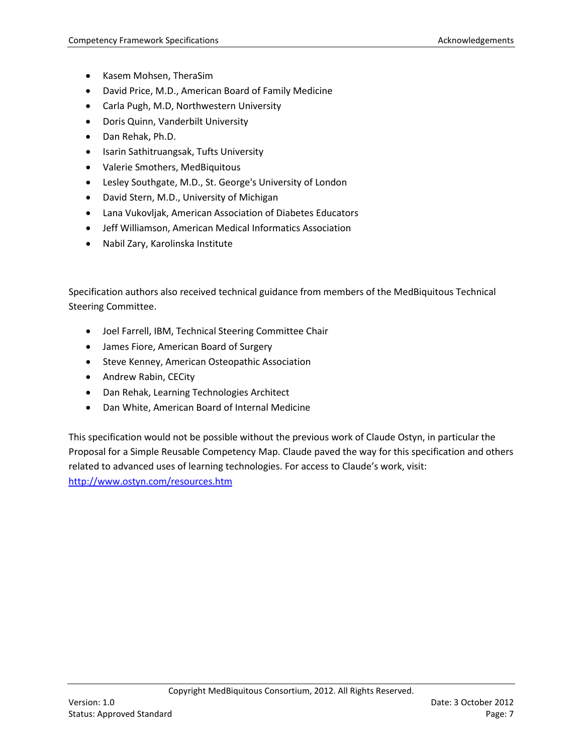- Kasem Mohsen, TheraSim
- David Price, M.D., American Board of Family Medicine
- Carla Pugh, M.D, Northwestern University
- Doris Quinn, Vanderbilt University
- Dan Rehak, Ph.D.
- Isarin Sathitruangsak, Tufts University
- Valerie Smothers, MedBiquitous
- Lesley Southgate, M.D., St. George's University of London
- David Stern, M.D., University of Michigan
- Lana Vukovljak, American Association of Diabetes Educators
- Jeff Williamson, American Medical Informatics Association
- Nabil Zary, Karolinska Institute

Specification authors also received technical guidance from members of the MedBiquitous Technical Steering Committee.

- Joel Farrell, IBM, Technical Steering Committee Chair
- James Fiore, American Board of Surgery
- Steve Kenney, American Osteopathic Association
- Andrew Rabin, CECity
- Dan Rehak, Learning Technologies Architect
- Dan White, American Board of Internal Medicine

This specification would not be possible without the previous work of Claude Ostyn, in particular the Proposal for a Simple Reusable Competency Map. Claude paved the way for this specification and others related to advanced uses of learning technologies. For access to Claude's work, visit: <http://www.ostyn.com/resources.htm>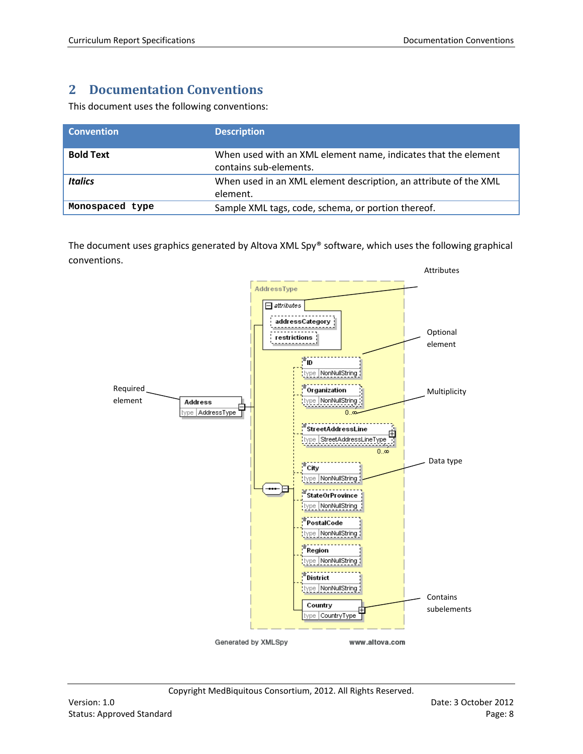# <span id="page-7-0"></span>**2 Documentation Conventions**

This document uses the following conventions:

| <b>Convention</b> | <b>Description</b>                                                                       |
|-------------------|------------------------------------------------------------------------------------------|
| <b>Bold Text</b>  | When used with an XML element name, indicates that the element<br>contains sub-elements. |
| <b>Italics</b>    | When used in an XML element description, an attribute of the XML<br>element.             |
| Monospaced type   | Sample XML tags, code, schema, or portion thereof.                                       |

The document uses graphics generated by Altova XML Spy® software, which uses the following graphical conventions.

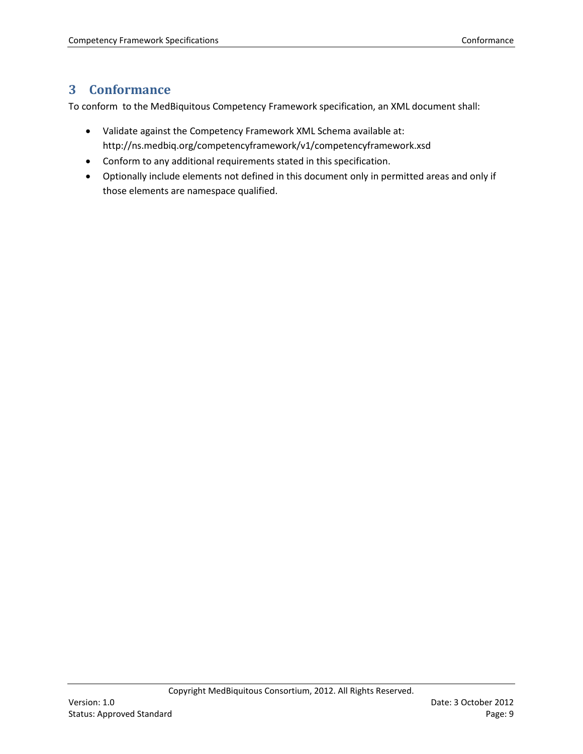# <span id="page-8-0"></span>**3 Conformance**

To conform to the MedBiquitous Competency Framework specification, an XML document shall:

- Validate against the Competency Framework XML Schema available at: http://ns.medbiq.org/competencyframework/v1/competencyframework.xsd
- Conform to any additional requirements stated in this specification.
- Optionally include elements not defined in this document only in permitted areas and only if those elements are namespace qualified.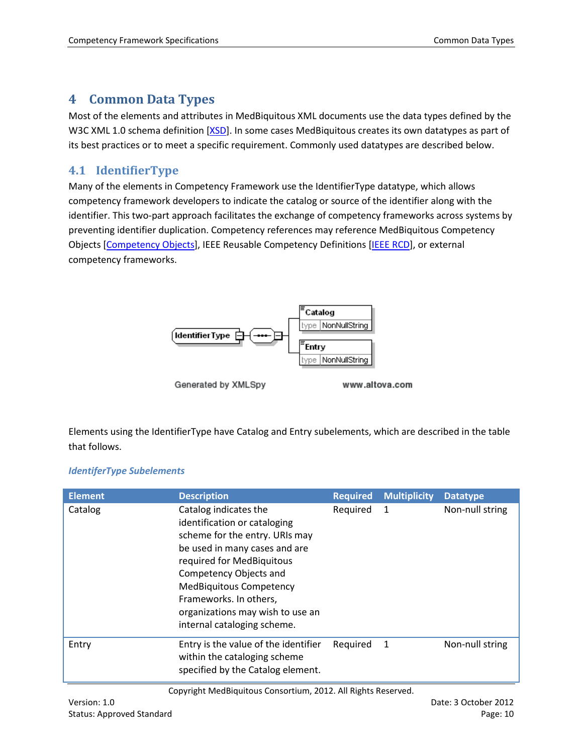### <span id="page-9-0"></span>**4 Common Data Types**

Most of the elements and attributes in MedBiquitous XML documents use the data types defined by the W3C XML 1.0 schema definition [\[XSD\]](#page-40-0). In some cases MedBiquitous creates its own datatypes as part of its best practices or to meet a specific requirement. Commonly used datatypes are described below.

### <span id="page-9-1"></span>**4.1 IdentifierType**

Many of the elements in Competency Framework use the IdentifierType datatype, which allows competency framework developers to indicate the catalog or source of the identifier along with the identifier. This two-part approach facilitates the exchange of competency frameworks across systems by preventing identifier duplication. Competency references may reference MedBiquitous Competency Objects [\[Competency Objects\]](#page-39-1), IEEE Reusable Competency Definitions [\[IEEE RCD\]](#page-39-2), or external competency frameworks.



Elements using the IdentifierType have Catalog and Entry subelements, which are described in the table that follows.

#### *IdentiferType Subelements*

| <b>Element</b> | <b>Description</b>                                                                                                                                                                                                                                                                                             | <b>Required</b> | <b>Multiplicity</b> | <b>Datatype</b> |
|----------------|----------------------------------------------------------------------------------------------------------------------------------------------------------------------------------------------------------------------------------------------------------------------------------------------------------------|-----------------|---------------------|-----------------|
| Catalog        | Catalog indicates the<br>identification or cataloging<br>scheme for the entry. URIs may<br>be used in many cases and are<br>required for MedBiquitous<br>Competency Objects and<br><b>MedBiquitous Competency</b><br>Frameworks. In others,<br>organizations may wish to use an<br>internal cataloging scheme. | Required        | 1                   | Non-null string |
| Entry          | Entry is the value of the identifier<br>within the cataloging scheme<br>specified by the Catalog element.                                                                                                                                                                                                      | Required        | -1                  | Non-null string |

Copyright MedBiquitous Consortium, 2012. All Rights Reserved.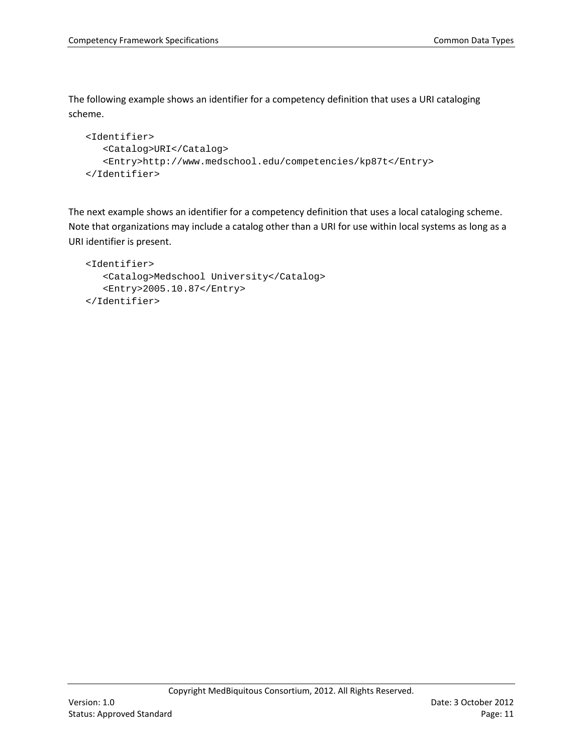The following example shows an identifier for a competency definition that uses a URI cataloging scheme.

```
<Identifier>
   <Catalog>URI</Catalog>
   <Entry>http://www.medschool.edu/competencies/kp87t</Entry>
</Identifier>
```
The next example shows an identifier for a competency definition that uses a local cataloging scheme. Note that organizations may include a catalog other than a URI for use within local systems as long as a URI identifier is present.

```
<Identifier>
   <Catalog>Medschool University</Catalog>
   <Entry>2005.10.87</Entry>
</Identifier>
```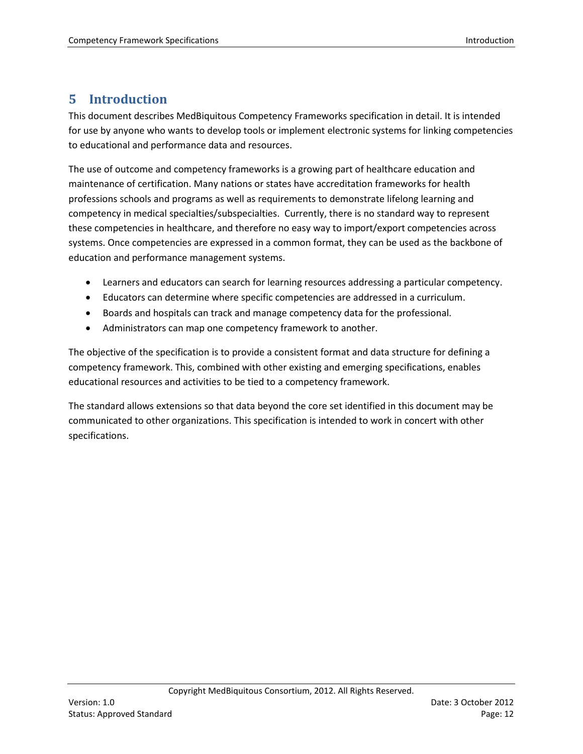# <span id="page-11-0"></span>**5 Introduction**

This document describes MedBiquitous Competency Frameworks specification in detail. It is intended for use by anyone who wants to develop tools or implement electronic systems for linking competencies to educational and performance data and resources.

The use of outcome and competency frameworks is a growing part of healthcare education and maintenance of certification. Many nations or states have accreditation frameworks for health professions schools and programs as well as requirements to demonstrate lifelong learning and competency in medical specialties/subspecialties. Currently, there is no standard way to represent these competencies in healthcare, and therefore no easy way to import/export competencies across systems. Once competencies are expressed in a common format, they can be used as the backbone of education and performance management systems.

- Learners and educators can search for learning resources addressing a particular competency.
- Educators can determine where specific competencies are addressed in a curriculum.
- Boards and hospitals can track and manage competency data for the professional.
- Administrators can map one competency framework to another.

The objective of the specification is to provide a consistent format and data structure for defining a competency framework. This, combined with other existing and emerging specifications, enables educational resources and activities to be tied to a competency framework.

The standard allows extensions so that data beyond the core set identified in this document may be communicated to other organizations. This specification is intended to work in concert with other specifications.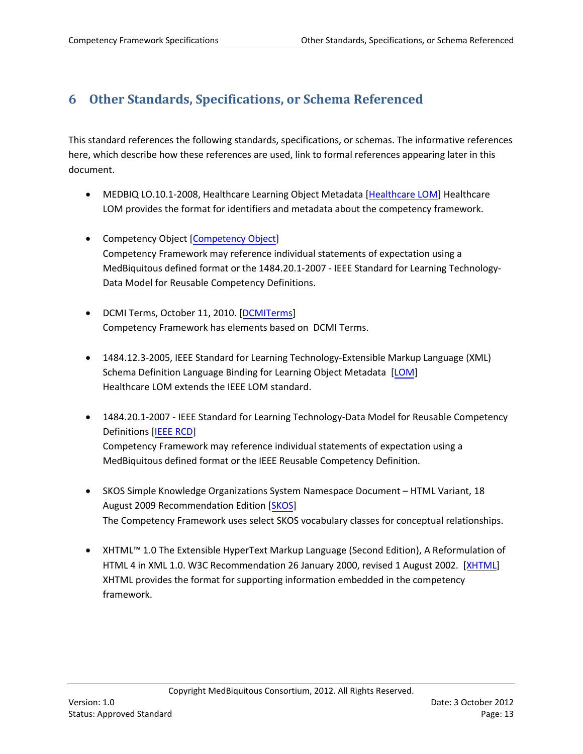# <span id="page-12-0"></span>**6 Other Standards, Specifications, or Schema Referenced**

This standard references the following standards, specifications, or schemas. The informative references here, which describe how these references are used, link to formal references appearing later in this document.

- MEDBIQ LO.10.1-2008, Healthcare Learning Object Metadata [\[Healthcare LOM\]](#page-39-3) Healthcare LOM provides the format for identifiers and metadata about the competency framework.
- Competency Object [\[Competency Object\]](#page-39-1) Competency Framework may reference individual statements of expectation using a MedBiquitous defined format or the 1484.20.1-2007 - IEEE Standard for Learning Technology-Data Model for Reusable Competency Definitions.
- DCMI Terms, October 11, 2010. [\[DCMITerms\]](#page-39-4) Competency Framework has elements based on DCMI Terms.
- 1484.12.3-2005, IEEE Standard for Learning Technology-Extensible Markup Language (XML) Schema Definition Language Binding for Learning Object Metadata [\[LOM\]](#page-39-5) Healthcare LOM extends the IEEE LOM standard.
- 1484.20.1-2007 IEEE Standard for Learning Technology-Data Model for Reusable Competency Definitions [\[IEEE RCD\]](#page-39-2) Competency Framework may reference individual statements of expectation using a MedBiquitous defined format or the IEEE Reusable Competency Definition.
- SKOS Simple Knowledge Organizations System Namespace Document HTML Variant, 18 August 2009 Recommendation Edition [\[SKOS\]](#page-40-1) The Competency Framework uses select SKOS vocabulary classes for conceptual relationships.
- XHTML™ 1.0 The Extensible HyperText Markup Language (Second Edition), A Reformulation of HTML 4 in XML 1.0. W3C Recommendation 26 January 2000, revised 1 August 2002. [\[XHTML\]](#page-40-2) XHTML provides the format for supporting information embedded in the competency framework.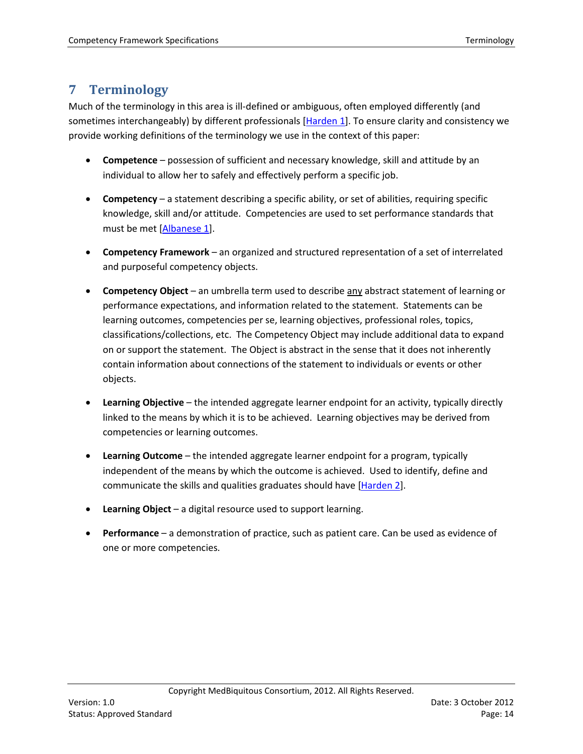# <span id="page-13-0"></span>**7 Terminology**

Much of the terminology in this area is ill-defined or ambiguous, often employed differently (and sometimes interchangeably) by different professionals [\[Harden 1\]](#page-39-4). To ensure clarity and consistency we provide working definitions of the terminology we use in the context of this paper:

- **Competence** possession of sufficient and necessary knowledge, skill and attitude by an individual to allow her to safely and effectively perform a specific job.
- **Competency** a statement describing a specific ability, or set of abilities, requiring specific knowledge, skill and/or attitude. Competencies are used to set performance standards that must be met [\[Albanese 1\]](#page-39-1).
- **Competency Framework** an organized and structured representation of a set of interrelated and purposeful competency objects.
- **Competency Object** an umbrella term used to describe any abstract statement of learning or performance expectations, and information related to the statement. Statements can be learning outcomes, competencies per se, learning objectives, professional roles, topics, classifications/collections, etc. The Competency Object may include additional data to expand on or support the statement. The Object is abstract in the sense that it does not inherently contain information about connections of the statement to individuals or events or other objects.
- **Learning Objective** the intended aggregate learner endpoint for an activity, typically directly linked to the means by which it is to be achieved. Learning objectives may be derived from competencies or learning outcomes.
- **Learning Outcome** the intended aggregate learner endpoint for a program, typically independent of the means by which the outcome is achieved. Used to identify, define and communicate the skills and qualities graduates should have [\[Harden 2\]](#page-39-6).
- **Learning Object** a digital resource used to support learning.
- **Performance**  a demonstration of practice, such as patient care. Can be used as evidence of one or more competencies.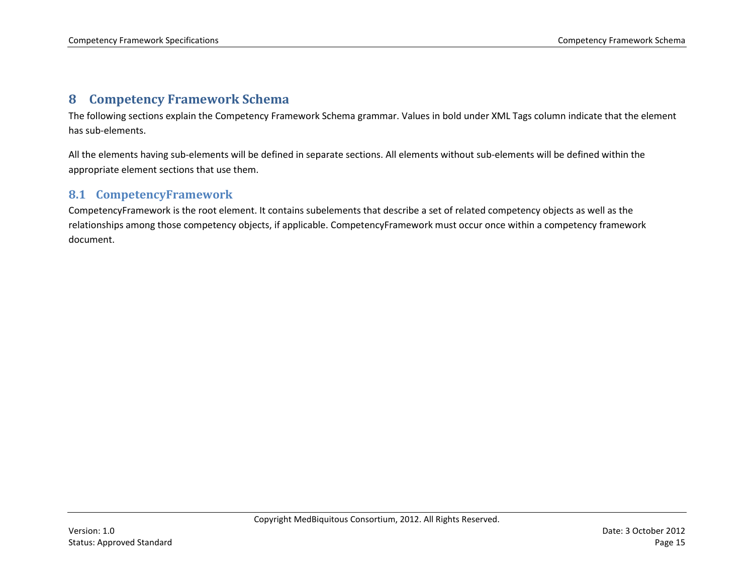# **8 Competency Framework Schema**

The following sections explain the Competency Framework Schema grammar. Values in bold under XML Tags column indicate that the element has sub-elements.

All the elements having sub-elements will be defined in separate sections. All elements without sub-elements will be defined within the appropriate element sections that use them.

### **8.1 CompetencyFramework**

<span id="page-14-1"></span><span id="page-14-0"></span>CompetencyFramework is the root element. It contains subelements that describe a set of related competency objects as well as the relationships among those competency objects, if applicable. CompetencyFramework must occur once within a competency framework document.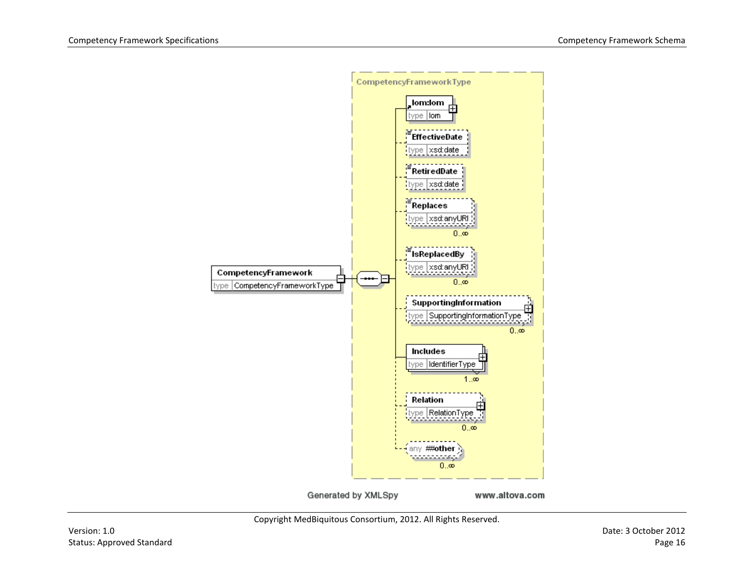

Copyright MedBiquitous Consortium, 2012. All Rights Reserved.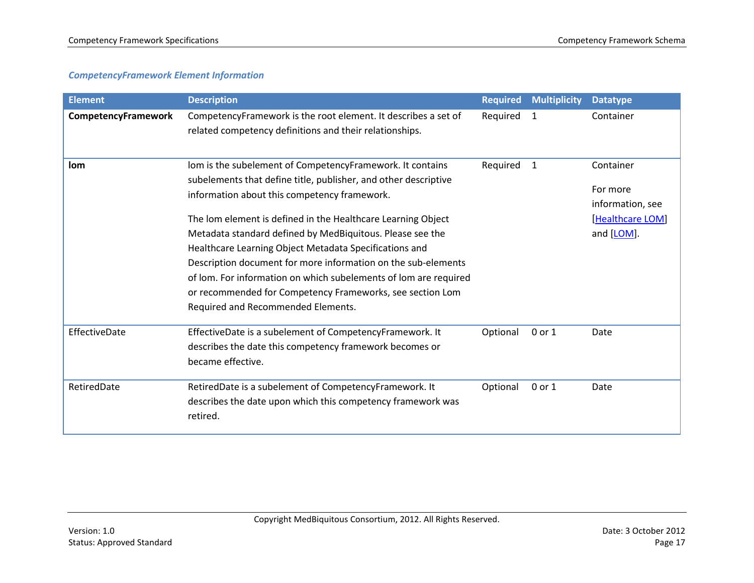#### *CompetencyFramework Element Information*

| <b>Element</b>      | <b>Description</b>                                                                                                                                                                                                                                                                                                                                                                                                                                                                                                                                                                                          | <b>Required</b> | <b>Multiplicity</b> | <b>Datatype</b>                                                             |
|---------------------|-------------------------------------------------------------------------------------------------------------------------------------------------------------------------------------------------------------------------------------------------------------------------------------------------------------------------------------------------------------------------------------------------------------------------------------------------------------------------------------------------------------------------------------------------------------------------------------------------------------|-----------------|---------------------|-----------------------------------------------------------------------------|
| CompetencyFramework | CompetencyFramework is the root element. It describes a set of<br>related competency definitions and their relationships.                                                                                                                                                                                                                                                                                                                                                                                                                                                                                   | Required        | 1                   | Container                                                                   |
| lom                 | lom is the subelement of CompetencyFramework. It contains<br>subelements that define title, publisher, and other descriptive<br>information about this competency framework.<br>The lom element is defined in the Healthcare Learning Object<br>Metadata standard defined by MedBiquitous. Please see the<br>Healthcare Learning Object Metadata Specifications and<br>Description document for more information on the sub-elements<br>of lom. For information on which subelements of lom are required<br>or recommended for Competency Frameworks, see section Lom<br>Required and Recommended Elements. | Required        | 1                   | Container<br>For more<br>information, see<br>[Healthcare LOM]<br>and [LOM]. |
| EffectiveDate       | EffectiveDate is a subelement of CompetencyFramework. It<br>describes the date this competency framework becomes or<br>became effective.                                                                                                                                                                                                                                                                                                                                                                                                                                                                    | Optional        | 0 or 1              | Date                                                                        |
| RetiredDate         | RetiredDate is a subelement of CompetencyFramework. It<br>describes the date upon which this competency framework was<br>retired.                                                                                                                                                                                                                                                                                                                                                                                                                                                                           | Optional        | 0 or 1              | Date                                                                        |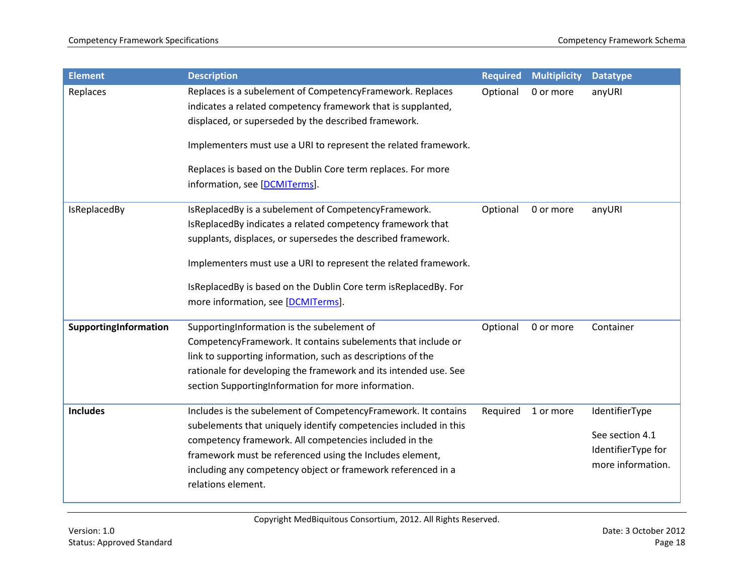| <b>Element</b>        | <b>Description</b>                                                                                                                                                                                                                                                                                                                                             | <b>Required</b> | <b>Multiplicity</b> | <b>Datatype</b>                                                              |
|-----------------------|----------------------------------------------------------------------------------------------------------------------------------------------------------------------------------------------------------------------------------------------------------------------------------------------------------------------------------------------------------------|-----------------|---------------------|------------------------------------------------------------------------------|
| Replaces              | Replaces is a subelement of CompetencyFramework. Replaces<br>indicates a related competency framework that is supplanted,<br>displaced, or superseded by the described framework.<br>Implementers must use a URI to represent the related framework.<br>Replaces is based on the Dublin Core term replaces. For more<br>information, see [DCMITerms].          | Optional        | 0 or more           | anyURI                                                                       |
| IsReplacedBy          | IsReplacedBy is a subelement of CompetencyFramework.<br>IsReplacedBy indicates a related competency framework that<br>supplants, displaces, or supersedes the described framework.<br>Implementers must use a URI to represent the related framework.<br>IsReplacedBy is based on the Dublin Core term isReplacedBy. For<br>more information, see [DCMITerms]. | Optional        | 0 or more           | anyURI                                                                       |
| SupportingInformation | SupportingInformation is the subelement of<br>CompetencyFramework. It contains subelements that include or<br>link to supporting information, such as descriptions of the<br>rationale for developing the framework and its intended use. See<br>section SupportingInformation for more information.                                                           | Optional        | 0 or more           | Container                                                                    |
| <b>Includes</b>       | Includes is the subelement of CompetencyFramework. It contains<br>subelements that uniquely identify competencies included in this<br>competency framework. All competencies included in the<br>framework must be referenced using the Includes element,<br>including any competency object or framework referenced in a<br>relations element.                 | Required        | 1 or more           | IdentifierType<br>See section 4.1<br>IdentifierType for<br>more information. |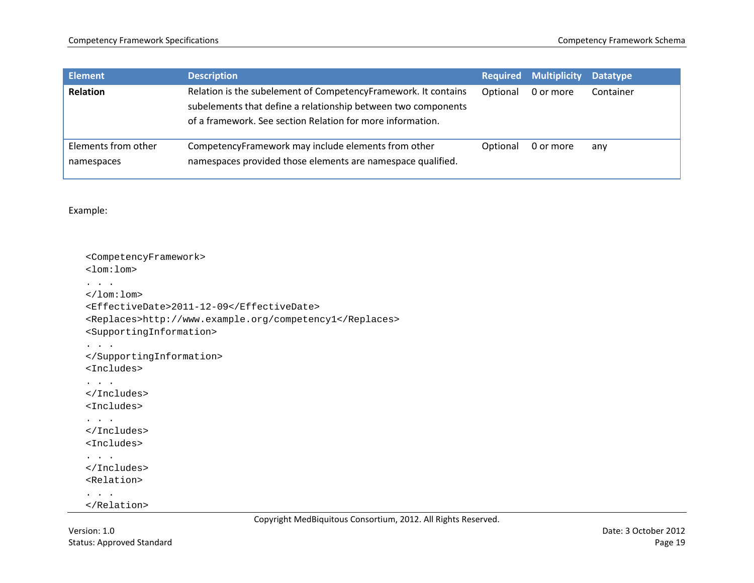| <b>Element</b>                    | <b>Description</b>                                                                                                                                                                            | <b>Required</b> | <b>Multiplicity</b> | <b>Datatype</b> |
|-----------------------------------|-----------------------------------------------------------------------------------------------------------------------------------------------------------------------------------------------|-----------------|---------------------|-----------------|
| <b>Relation</b>                   | Relation is the subelement of CompetencyFramework. It contains<br>subelements that define a relationship between two components<br>of a framework. See section Relation for more information. | Optional        | 0 or more           | Container       |
| Elements from other<br>namespaces | CompetencyFramework may include elements from other<br>namespaces provided those elements are namespace qualified.                                                                            | Optional        | 0 or more           | any             |

Example:

```
<CompetencyFramework>
<lom:lom>
. . .
</lom:lom>
<EffectiveDate>2011-12-09</EffectiveDate>
<Replaces>http://www.example.org/competency1</Replaces>
<SupportingInformation>
. . .
</SupportingInformation>
<Includes>
. . .
</Includes>
<Includes>
. . .
</Includes>
<Includes>
. . .
</Includes>
<Relation>
. . . . .
</Relation>
```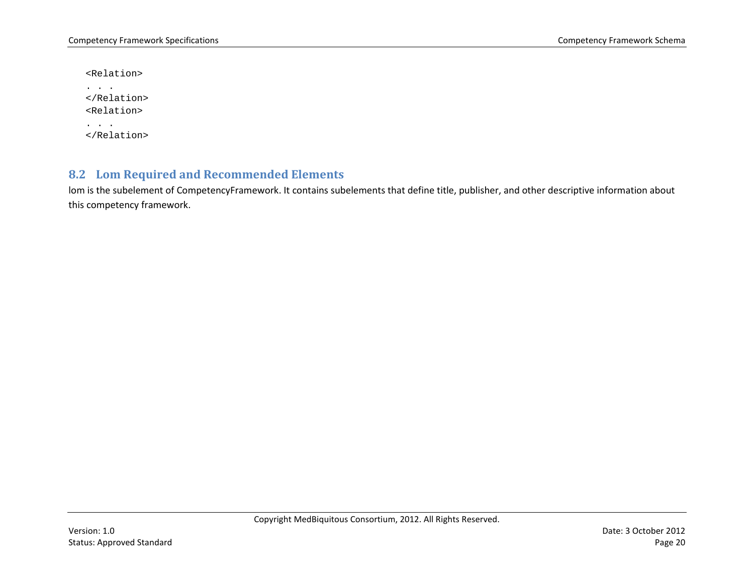<Relation>

```
. . .
</Relation>
<Relation>
. . .
</Relation>
```
### **8.2 Lom Required and Recommended Elements**

<span id="page-19-0"></span>lom is the subelement of CompetencyFramework. It contains subelements that define title, publisher, and other descriptive information about this competency framework.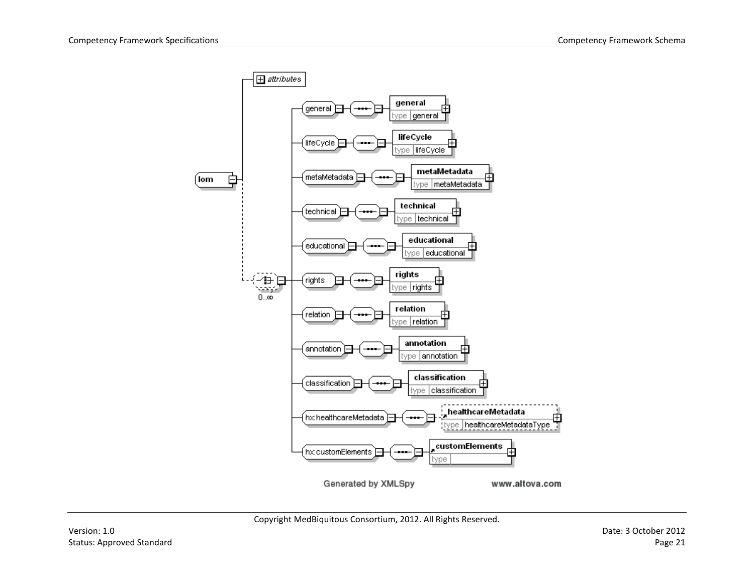

Copyright MedBiquitous Consortium, 2012. All Rights Reserved.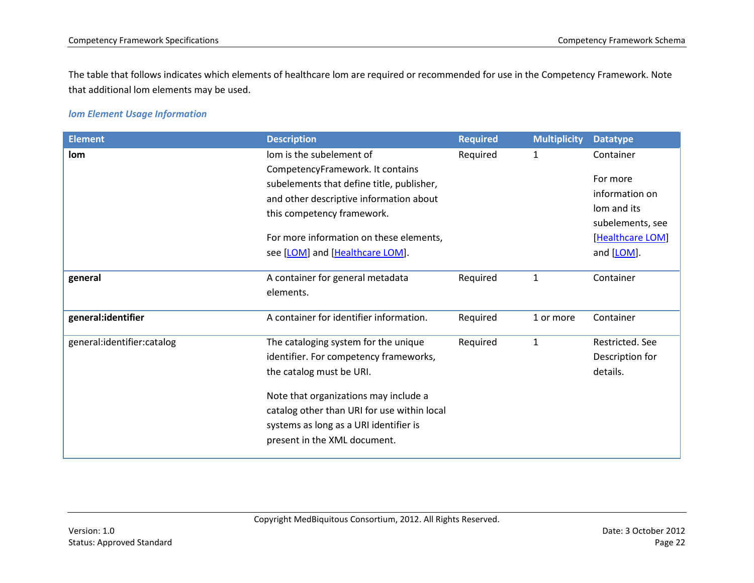The table that follows indicates which elements of healthcare lom are required or recommended for use in the Competency Framework. Note that additional lom elements may be used.

#### *lom Element Usage Information*

| <b>Element</b>             | <b>Description</b>                                           | <b>Required</b> | <b>Multiplicity</b> | <b>Datatype</b>  |
|----------------------------|--------------------------------------------------------------|-----------------|---------------------|------------------|
| lom                        | lom is the subelement of<br>CompetencyFramework. It contains | Required        | $\mathbf{1}$        | Container        |
|                            | subelements that define title, publisher,                    |                 |                     | For more         |
|                            | and other descriptive information about                      |                 |                     | information on   |
|                            | this competency framework.                                   |                 |                     | lom and its      |
|                            |                                                              |                 |                     | subelements, see |
|                            | For more information on these elements,                      |                 |                     | [Healthcare LOM] |
|                            | see [LOM] and [Healthcare LOM].                              |                 |                     | and [LOM].       |
| general                    | A container for general metadata                             | Required        | $\mathbf{1}$        | Container        |
|                            | elements.                                                    |                 |                     |                  |
| general:identifier         | A container for identifier information.                      | Required        | 1 or more           | Container        |
| general:identifier:catalog | The cataloging system for the unique                         | Required        | $\mathbf 1$         | Restricted. See  |
|                            | identifier. For competency frameworks,                       |                 |                     | Description for  |
|                            | the catalog must be URI.                                     |                 |                     | details.         |
|                            | Note that organizations may include a                        |                 |                     |                  |
|                            | catalog other than URI for use within local                  |                 |                     |                  |
|                            | systems as long as a URI identifier is                       |                 |                     |                  |
|                            | present in the XML document.                                 |                 |                     |                  |
|                            |                                                              |                 |                     |                  |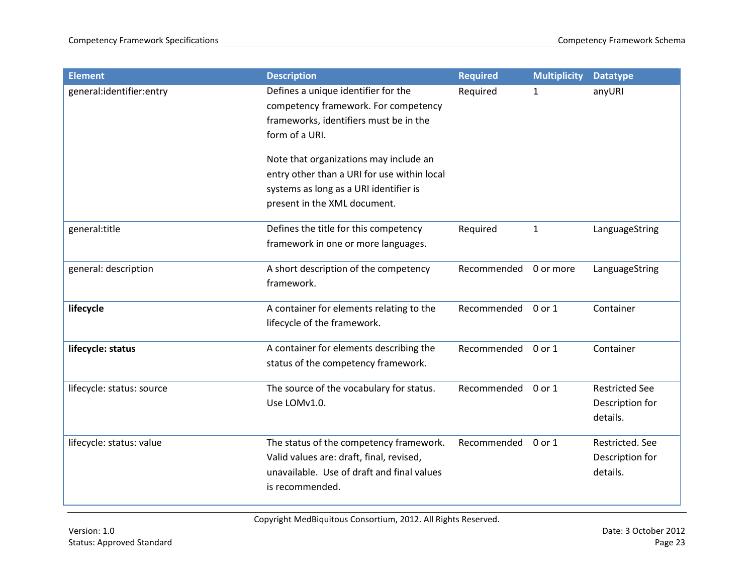| <b>Element</b>            | <b>Description</b>                                                                                                                                              | <b>Required</b> | <b>Multiplicity</b> | <b>Datatype</b>                                      |
|---------------------------|-----------------------------------------------------------------------------------------------------------------------------------------------------------------|-----------------|---------------------|------------------------------------------------------|
| general:identifier:entry  | Defines a unique identifier for the<br>competency framework. For competency<br>frameworks, identifiers must be in the<br>form of a URI.                         | Required        | $\mathbf{1}$        | anyURI                                               |
|                           | Note that organizations may include an<br>entry other than a URI for use within local<br>systems as long as a URI identifier is<br>present in the XML document. |                 |                     |                                                      |
|                           |                                                                                                                                                                 |                 |                     |                                                      |
| general:title             | Defines the title for this competency<br>framework in one or more languages.                                                                                    | Required        | $\mathbf{1}$        | LanguageString                                       |
| general: description      | A short description of the competency<br>framework.                                                                                                             | Recommended     | 0 or more           | LanguageString                                       |
| lifecycle                 | A container for elements relating to the<br>lifecycle of the framework.                                                                                         | Recommended     | 0 or 1              | Container                                            |
| lifecycle: status         | A container for elements describing the<br>status of the competency framework.                                                                                  | Recommended     | 0 or 1              | Container                                            |
| lifecycle: status: source | The source of the vocabulary for status.<br>Use LOMv1.0.                                                                                                        | Recommended     | 0 or 1              | <b>Restricted See</b><br>Description for<br>details. |
| lifecycle: status: value  | The status of the competency framework.<br>Valid values are: draft, final, revised,<br>unavailable. Use of draft and final values<br>is recommended.            | Recommended     | 0 or 1              | Restricted. See<br>Description for<br>details.       |

Copyright MedBiquitous Consortium, 2012. All Rights Reserved.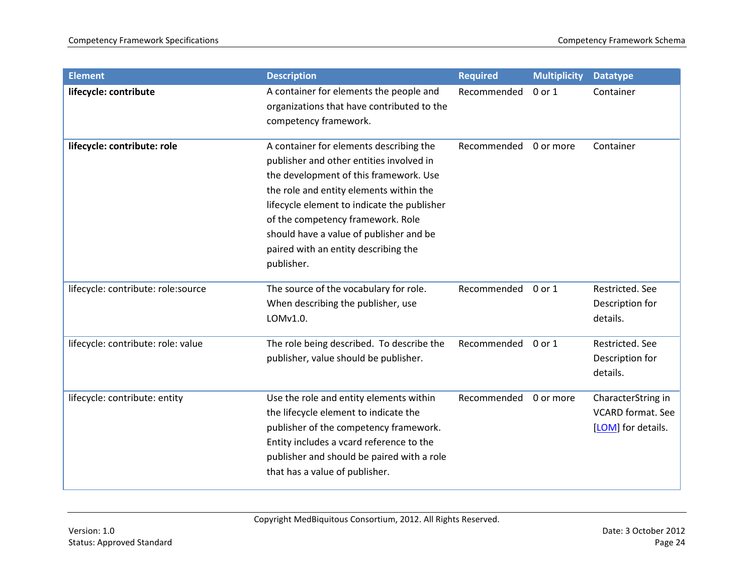| <b>Element</b>                     | <b>Description</b>                                                                                                                                                                                                                                                                                                                                            | <b>Required</b> | <b>Multiplicity</b> | <b>Datatype</b>                                                      |
|------------------------------------|---------------------------------------------------------------------------------------------------------------------------------------------------------------------------------------------------------------------------------------------------------------------------------------------------------------------------------------------------------------|-----------------|---------------------|----------------------------------------------------------------------|
| lifecycle: contribute              | A container for elements the people and<br>organizations that have contributed to the<br>competency framework.                                                                                                                                                                                                                                                | Recommended     | $0$ or $1$          | Container                                                            |
| lifecycle: contribute: role        | A container for elements describing the<br>publisher and other entities involved in<br>the development of this framework. Use<br>the role and entity elements within the<br>lifecycle element to indicate the publisher<br>of the competency framework. Role<br>should have a value of publisher and be<br>paired with an entity describing the<br>publisher. | Recommended     | 0 or more           | Container                                                            |
| lifecycle: contribute: role:source | The source of the vocabulary for role.<br>When describing the publisher, use<br>LOMv1.0.                                                                                                                                                                                                                                                                      | Recommended     | 0 or 1              | Restricted. See<br>Description for<br>details.                       |
| lifecycle: contribute: role: value | The role being described. To describe the<br>publisher, value should be publisher.                                                                                                                                                                                                                                                                            | Recommended     | 0 or 1              | Restricted. See<br>Description for<br>details.                       |
| lifecycle: contribute: entity      | Use the role and entity elements within<br>the lifecycle element to indicate the<br>publisher of the competency framework.<br>Entity includes a vcard reference to the<br>publisher and should be paired with a role<br>that has a value of publisher.                                                                                                        | Recommended     | 0 or more           | CharacterString in<br><b>VCARD</b> format. See<br>[LOM] for details. |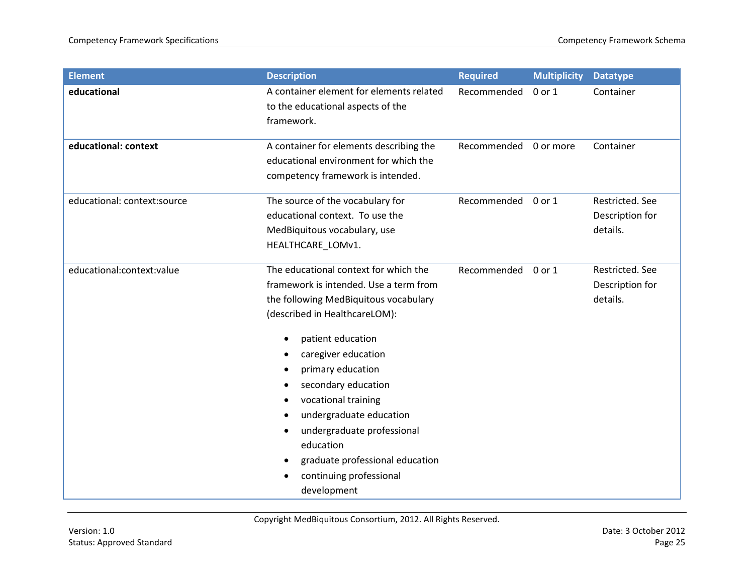| <b>Element</b>              | <b>Description</b>                                                                                                                                                                                                                                                                                                                                                                                                                                 | <b>Required</b> | <b>Multiplicity</b> | <b>Datatype</b>                                |
|-----------------------------|----------------------------------------------------------------------------------------------------------------------------------------------------------------------------------------------------------------------------------------------------------------------------------------------------------------------------------------------------------------------------------------------------------------------------------------------------|-----------------|---------------------|------------------------------------------------|
| educational                 | A container element for elements related<br>to the educational aspects of the<br>framework.                                                                                                                                                                                                                                                                                                                                                        | Recommended     | $0$ or $1$          | Container                                      |
| educational: context        | A container for elements describing the<br>educational environment for which the<br>competency framework is intended.                                                                                                                                                                                                                                                                                                                              | Recommended     | 0 or more           | Container                                      |
| educational: context:source | The source of the vocabulary for<br>educational context. To use the<br>MedBiquitous vocabulary, use<br>HEALTHCARE_LOMv1.                                                                                                                                                                                                                                                                                                                           | Recommended     | 0 or 1              | Restricted. See<br>Description for<br>details. |
| educational:context:value   | The educational context for which the<br>framework is intended. Use a term from<br>the following MedBiquitous vocabulary<br>(described in HealthcareLOM):<br>patient education<br>$\bullet$<br>caregiver education<br>primary education<br>secondary education<br>vocational training<br>undergraduate education<br>undergraduate professional<br>٠<br>education<br>graduate professional education<br>continuing professional<br>٠<br>development | Recommended     | 0 or 1              | Restricted. See<br>Description for<br>details. |

Copyright MedBiquitous Consortium, 2012. All Rights Reserved.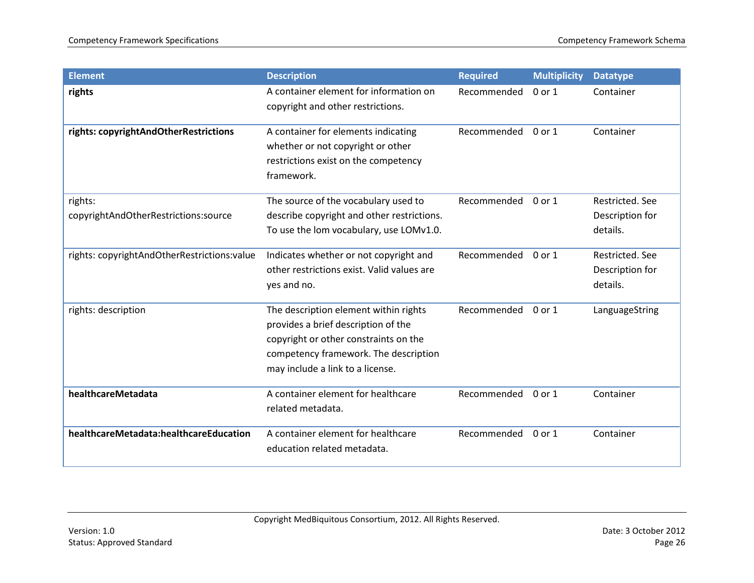| <b>Element</b>                                  | <b>Description</b>                                                                                                                                                                                 | <b>Required</b> | <b>Multiplicity</b> | <b>Datatype</b>                                |
|-------------------------------------------------|----------------------------------------------------------------------------------------------------------------------------------------------------------------------------------------------------|-----------------|---------------------|------------------------------------------------|
| rights                                          | A container element for information on<br>copyright and other restrictions.                                                                                                                        | Recommended     | $0$ or $1$          | Container                                      |
| rights: copyrightAndOtherRestrictions           | A container for elements indicating<br>whether or not copyright or other<br>restrictions exist on the competency<br>framework.                                                                     | Recommended     | 0 or 1              | Container                                      |
| rights:<br>copyrightAndOtherRestrictions:source | The source of the vocabulary used to<br>describe copyright and other restrictions.<br>To use the lom vocabulary, use LOMv1.0.                                                                      | Recommended     | 0 or 1              | Restricted. See<br>Description for<br>details. |
| rights: copyrightAndOtherRestrictions:value     | Indicates whether or not copyright and<br>other restrictions exist. Valid values are<br>yes and no.                                                                                                | Recommended     | 0 or 1              | Restricted. See<br>Description for<br>details. |
| rights: description                             | The description element within rights<br>provides a brief description of the<br>copyright or other constraints on the<br>competency framework. The description<br>may include a link to a license. | Recommended     | $0$ or $1$          | LanguageString                                 |
| healthcareMetadata                              | A container element for healthcare<br>related metadata.                                                                                                                                            | Recommended     | 0 or 1              | Container                                      |
| healthcareMetadata:healthcareEducation          | A container element for healthcare<br>education related metadata.                                                                                                                                  | Recommended     | 0 or 1              | Container                                      |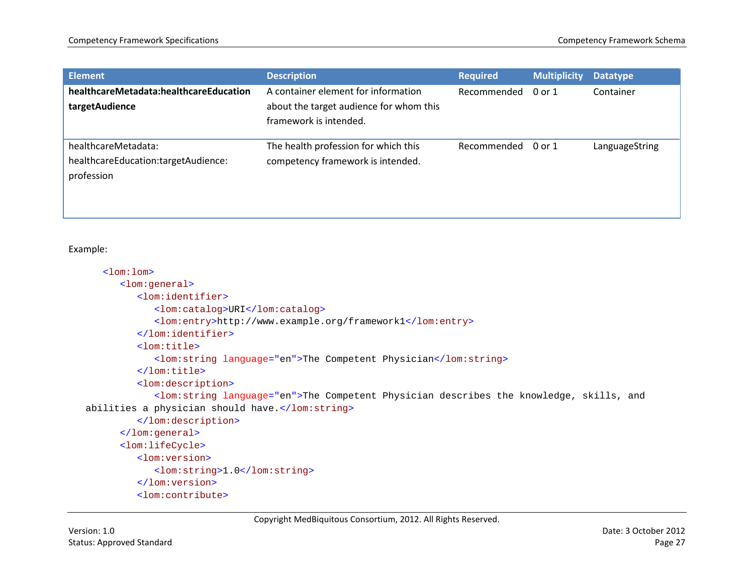| <b>Element</b>                                                           | <b>Description</b>                                                                                       | <b>Required</b> | <b>Multiplicity</b> | <b>Datatype</b> |
|--------------------------------------------------------------------------|----------------------------------------------------------------------------------------------------------|-----------------|---------------------|-----------------|
| healthcareMetadata:healthcareEducation<br>targetAudience                 | A container element for information<br>about the target audience for whom this<br>framework is intended. | Recommended     | 0 or 1              | Container       |
| healthcareMetadata:<br>healthcareEducation:targetAudience:<br>profession | The health profession for which this<br>competency framework is intended.                                | Recommended     | 0 or 1              | LanguageString  |

#### Example:

```
<lom:lom>
      <lom:general>
         <lom:identifier>
            <lom:catalog>URI</lom:catalog>
            <lom:entry>http://www.example.org/framework1</lom:entry>
         </lom:identifier>
         <lom:title>
            <lom:string language="en">The Competent Physician</lom:string>
         </lom:title>
         <lom:description>
            <lom:string language="en">The Competent Physician describes the knowledge, skills, and 
abilities a physician should have.</lom:string>
         </lom:description>
      </lom:general>
      <lom:lifeCycle>
         <lom:version>
            <lom:string>1.0</lom:string>
         </lom:version>
         <lom:contribute>
```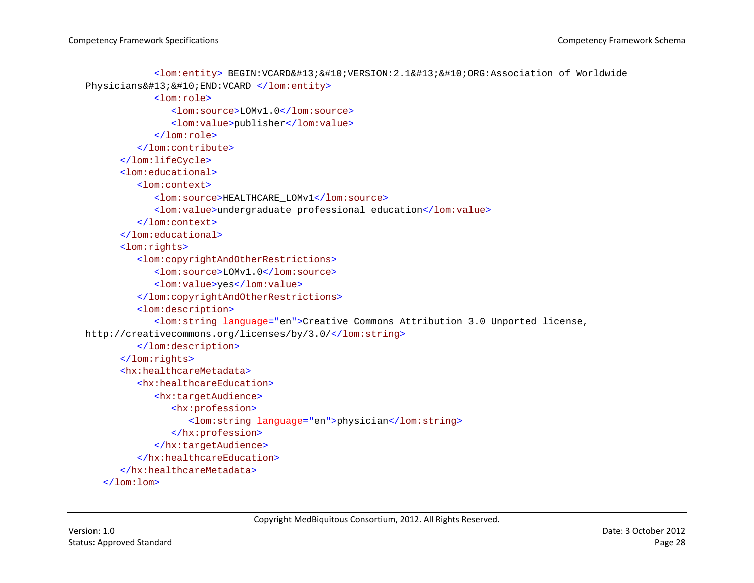```
<lom:entity> BEGIN:VCARD&#13;&#10;VERSION:2.1&#13;&#10;ORG:Association of Worldwide
Physicians

END:VCARD </lom:entity>
            <lom:role>
               <lom:source>LOMv1.0</lom:source>
               <lom:value>publisher</lom:value>
            </lom:role>
         </lom:contribute>
      </lom:lifeCycle>
      <lom:educational>
         <lom:context>
            <lom:source>HEALTHCARE_LOMv1</lom:source>
            <lom:value>undergraduate professional education</lom:value>
         </lom:context>
      </lom:educational>
      <lom:rights>
         <lom:copyrightAndOtherRestrictions>
            <lom:source>LOMv1.0</lom:source>
            <lom:value>yes</lom:value>
         </lom:copyrightAndOtherRestrictions>
         <lom:description>
            <lom:string language="en">Creative Commons Attribution 3.0 Unported license, 
http://creativecommons.org/licenses/by/3.0/</lom:string>
         </lom:description>
      </lom:rights>
      <hx:healthcareMetadata>
         <hx:healthcareEducation>
            <hx:targetAudience>
               <hx:profession>
                  <lom:string language="en">physician</lom:string>
               </hx:profession>
            </hx:targetAudience>
         </hx:healthcareEducation>
      </hx:healthcareMetadata>
   \langlelom:lom>
```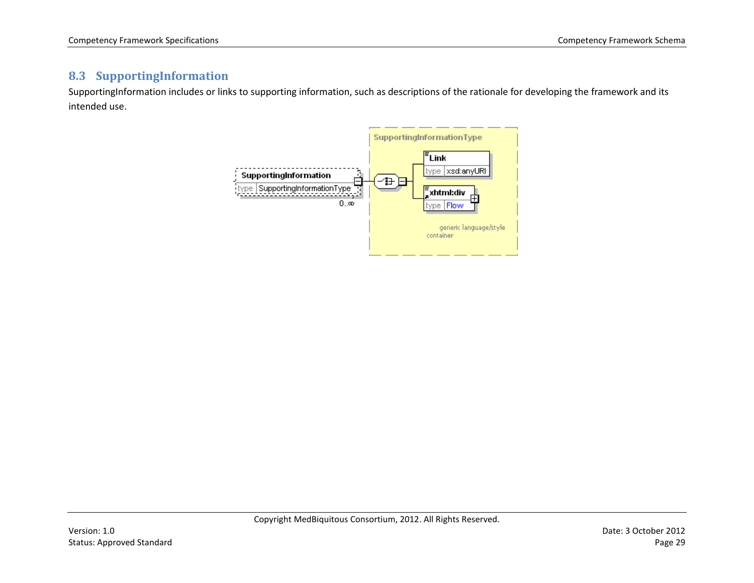### **8.3 SupportingInformation**

<span id="page-28-0"></span>SupportingInformation includes or links to supporting information, such as descriptions of the rationale for developing the framework and its intended use.

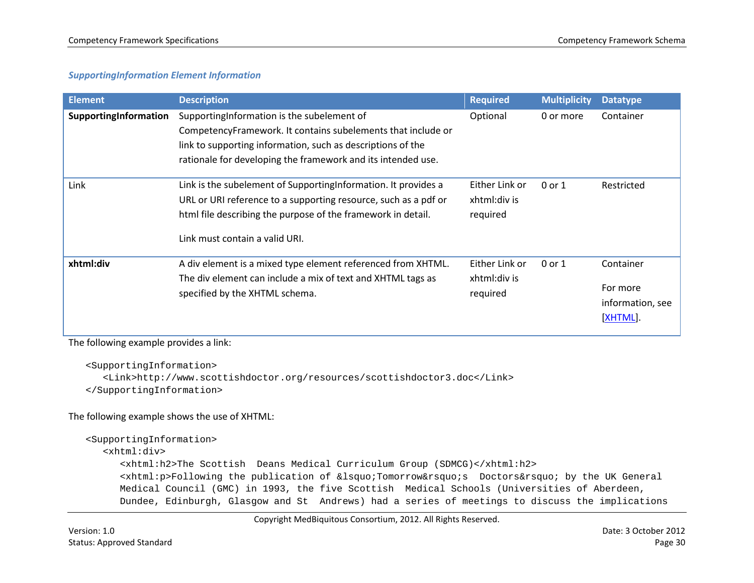#### *SupportingInformation Element Information*

| <b>Element</b>        | <b>Description</b>                                                                                                                                                                                                                        | <b>Required</b>                            | <b>Multiplicity</b> | <b>Datatype</b>                                       |
|-----------------------|-------------------------------------------------------------------------------------------------------------------------------------------------------------------------------------------------------------------------------------------|--------------------------------------------|---------------------|-------------------------------------------------------|
| SupportingInformation | SupportingInformation is the subelement of<br>CompetencyFramework. It contains subelements that include or<br>link to supporting information, such as descriptions of the<br>rationale for developing the framework and its intended use. | Optional                                   | 0 or more           | Container                                             |
| Link                  | Link is the subelement of Supporting Information. It provides a<br>URL or URI reference to a supporting resource, such as a pdf or<br>html file describing the purpose of the framework in detail.<br>Link must contain a valid URI.      | Either Link or<br>xhtml:div is<br>required | 0 or 1              | Restricted                                            |
| xhtml:div             | A div element is a mixed type element referenced from XHTML.<br>The div element can include a mix of text and XHTML tags as<br>specified by the XHTML schema.                                                                             | Either Link or<br>xhtml:div is<br>required | 0 or 1              | Container<br>For more<br>information, see<br>[XHTML]. |

The following example provides a link:

<SupportingInformation>

<Link>http://www.scottishdoctor.org/resources/scottishdoctor3.doc</Link> </SupportingInformation>

#### The following example shows the use of XHTML:

```
<SupportingInformation>
  <xhtml:div>
      <xhtml:h2>The Scottish Deans Medical Curriculum Group (SDMCG)</xhtml:h2>
      <xhtml:p>Following the publication of &lsquo;Tomorrow&rsquo;s Doctors&rsquo; by the UK General
     Medical Council (GMC) in 1993, the five Scottish Medical Schools (Universities of Aberdeen, 
     Dundee, Edinburgh, Glasgow and St Andrews) had a series of meetings to discuss the implications
```
Copyright MedBiquitous Consortium, 2012. All Rights Reserved.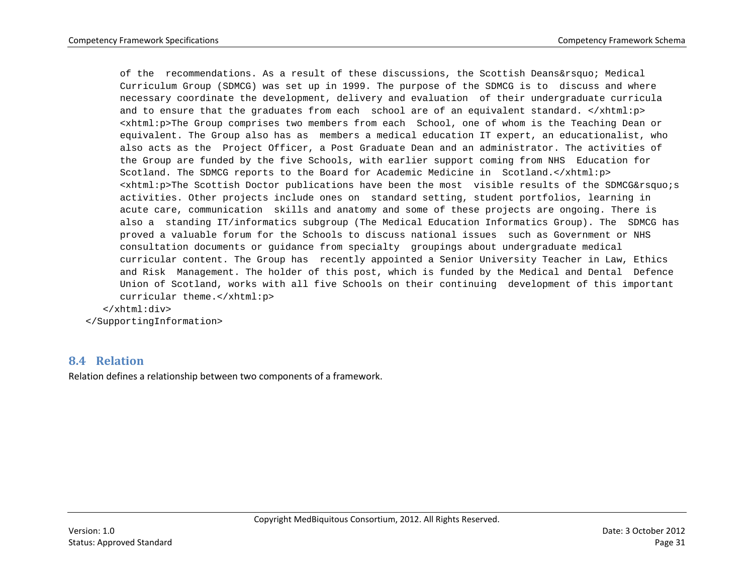of the recommendations. As a result of these discussions, the Scottish Deans' Medical Curriculum Group (SDMCG) was set up in 1999. The purpose of the SDMCG is to discuss and where necessary coordinate the development, delivery and evaluation of their undergraduate curricula and to ensure that the graduates from each school are of an equivalent standard.  $\langle x$ html:p> <xhtml:p>The Group comprises two members from each School, one of whom is the Teaching Dean or equivalent. The Group also has as members a medical education IT expert, an educationalist, who also acts as the Project Officer, a Post Graduate Dean and an administrator. The activities of the Group are funded by the five Schools, with earlier support coming from NHS Education for Scotland. The SDMCG reports to the Board for Academic Medicine in Scotland.</xhtml:p>  $\leq$ xhtml:p>The Scottish Doctor publications have been the most visible results of the SDMCG's activities. Other projects include ones on standard setting, student portfolios, learning in acute care, communication skills and anatomy and some of these projects are ongoing. There is also a standing IT/informatics subgroup (The Medical Education Informatics Group). The SDMCG has proved a valuable forum for the Schools to discuss national issues such as Government or NHS consultation documents or guidance from specialty groupings about undergraduate medical curricular content. The Group has recently appointed a Senior University Teacher in Law, Ethics and Risk Management. The holder of this post, which is funded by the Medical and Dental Defence Union of Scotland, works with all five Schools on their continuing development of this important curricular theme.</xhtml:p>

</xhtml:div>

# </SupportingInformation>

#### **8.4 Relation**

<span id="page-30-0"></span>Relation defines a relationship between two components of a framework.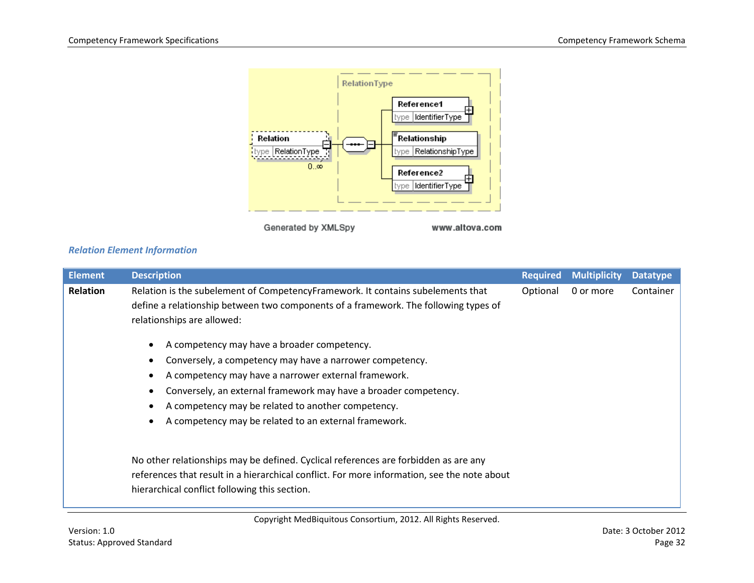

Generated by XMLSpy

www.altova.com

#### *Relation Element Information*

| <b>Element</b> | <b>Description</b>                                                                          | <b>Required</b> | <b>Multiplicity</b> | <b>Datatype</b> |
|----------------|---------------------------------------------------------------------------------------------|-----------------|---------------------|-----------------|
| Relation       | Relation is the subelement of CompetencyFramework. It contains subelements that             | Optional        | 0 or more           | Container       |
|                | define a relationship between two components of a framework. The following types of         |                 |                     |                 |
|                | relationships are allowed:                                                                  |                 |                     |                 |
|                | A competency may have a broader competency.                                                 |                 |                     |                 |
|                | Conversely, a competency may have a narrower competency.<br>٠                               |                 |                     |                 |
|                | A competency may have a narrower external framework.<br>$\bullet$                           |                 |                     |                 |
|                | Conversely, an external framework may have a broader competency.<br>٠                       |                 |                     |                 |
|                | A competency may be related to another competency.<br>٠                                     |                 |                     |                 |
|                | A competency may be related to an external framework.<br>$\bullet$                          |                 |                     |                 |
|                |                                                                                             |                 |                     |                 |
|                | No other relationships may be defined. Cyclical references are forbidden as are any         |                 |                     |                 |
|                | references that result in a hierarchical conflict. For more information, see the note about |                 |                     |                 |
|                | hierarchical conflict following this section.                                               |                 |                     |                 |

Copyright MedBiquitous Consortium, 2012. All Rights Reserved.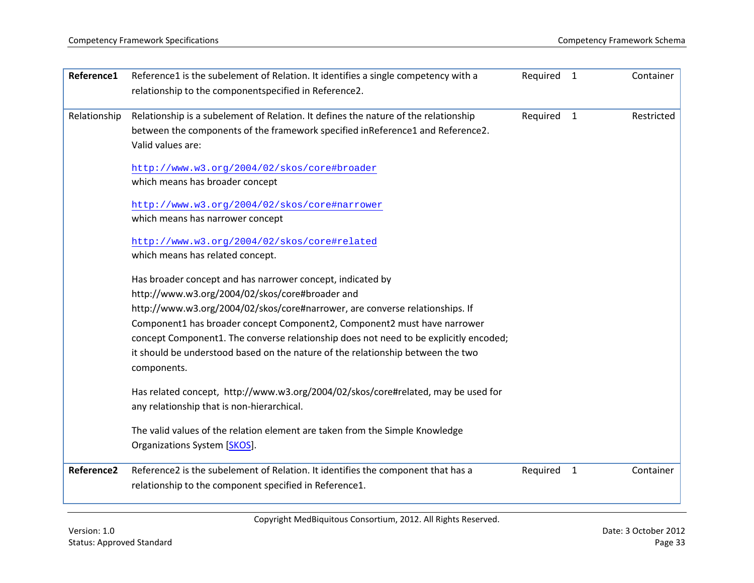| Reference1   | Reference1 is the subelement of Relation. It identifies a single competency with a                  | Required | $\overline{1}$ | Container  |
|--------------|-----------------------------------------------------------------------------------------------------|----------|----------------|------------|
|              | relationship to the componentspecified in Reference2.                                               |          |                |            |
| Relationship | Relationship is a subelement of Relation. It defines the nature of the relationship                 | Required | $\mathbf{1}$   | Restricted |
|              | between the components of the framework specified inReference1 and Reference2.<br>Valid values are: |          |                |            |
|              |                                                                                                     |          |                |            |
|              | http://www.w3.org/2004/02/skos/core#broader                                                         |          |                |            |
|              | which means has broader concept                                                                     |          |                |            |
|              | http://www.w3.org/2004/02/skos/core#narrower                                                        |          |                |            |
|              | which means has narrower concept                                                                    |          |                |            |
|              | http://www.w3.org/2004/02/skos/core#related                                                         |          |                |            |
|              | which means has related concept.                                                                    |          |                |            |
|              | Has broader concept and has narrower concept, indicated by                                          |          |                |            |
|              | http://www.w3.org/2004/02/skos/core#broader and                                                     |          |                |            |
|              | http://www.w3.org/2004/02/skos/core#narrower, are converse relationships. If                        |          |                |            |
|              | Component1 has broader concept Component2, Component2 must have narrower                            |          |                |            |
|              | concept Component1. The converse relationship does not need to be explicitly encoded;               |          |                |            |
|              | it should be understood based on the nature of the relationship between the two<br>components.      |          |                |            |
|              |                                                                                                     |          |                |            |
|              | Has related concept, http://www.w3.org/2004/02/skos/core#related, may be used for                   |          |                |            |
|              | any relationship that is non-hierarchical.                                                          |          |                |            |
|              | The valid values of the relation element are taken from the Simple Knowledge                        |          |                |            |
|              | Organizations System [SKOS].                                                                        |          |                |            |
| Reference2   | Reference2 is the subelement of Relation. It identifies the component that has a                    | Required | $\mathbf{1}$   | Container  |
|              | relationship to the component specified in Reference1.                                              |          |                |            |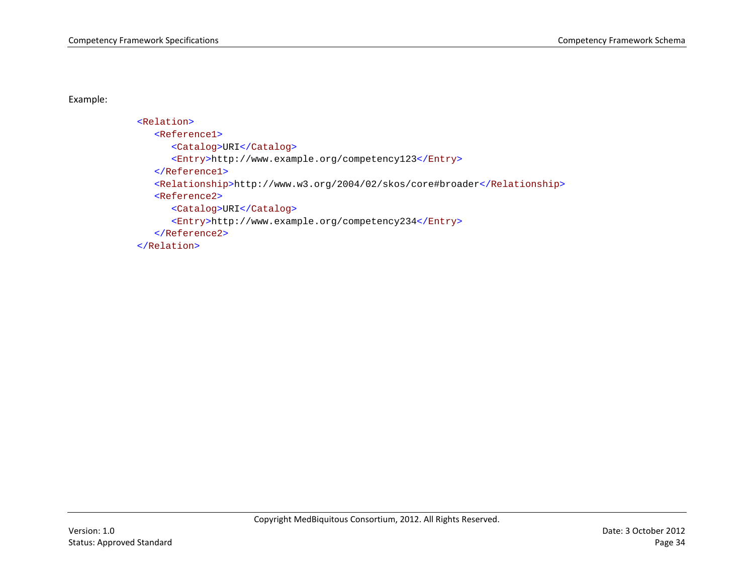Example:

```
<Relation>
   <Reference1>
     <Catalog>URI</Catalog>
     <Entry>http://www.example.org/competency123</Entry>
   </Reference1>
  <Relationship>http://www.w3.org/2004/02/skos/core#broader</Relationship>
   <Reference2>
     <Catalog>URI</Catalog>
     <Entry>http://www.example.org/competency234</Entry>
  </Reference2>
</Relation>
```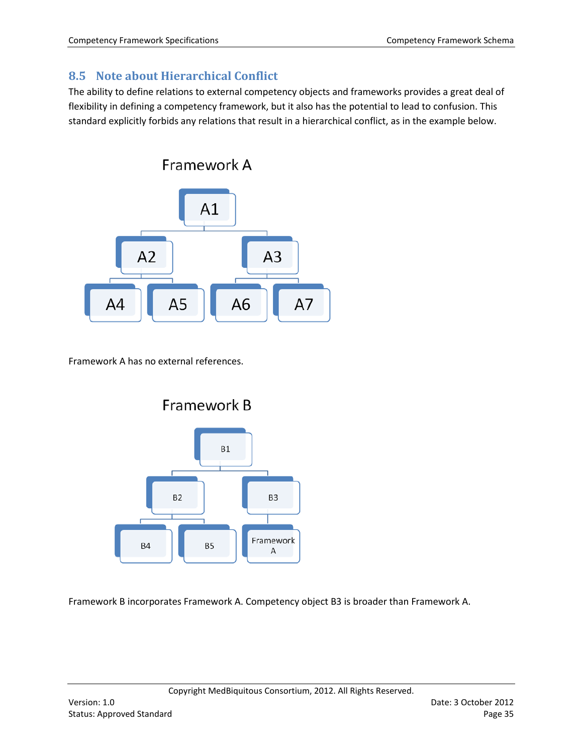# <span id="page-34-0"></span>**8.5 Note about Hierarchical Conflict**

The ability to define relations to external competency objects and frameworks provides a great deal of flexibility in defining a competency framework, but it also has the potential to lead to confusion. This standard explicitly forbids any relations that result in a hierarchical conflict, as in the example below.



Framework A has no external references.



Framework B incorporates Framework A. Competency object B3 is broader than Framework A.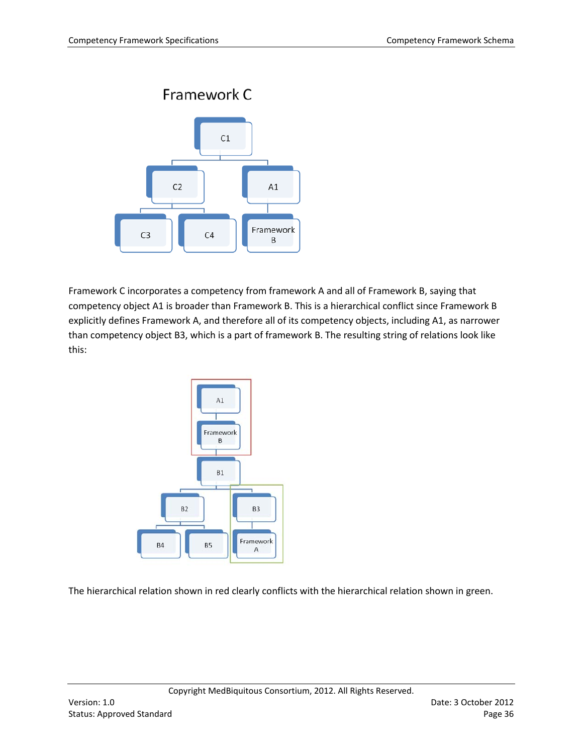

Framework C incorporates a competency from framework A and all of Framework B, saying that competency object A1 is broader than Framework B. This is a hierarchical conflict since Framework B explicitly defines Framework A, and therefore all of its competency objects, including A1, as narrower than competency object B3, which is a part of framework B. The resulting string of relations look like this:



The hierarchical relation shown in red clearly conflicts with the hierarchical relation shown in green.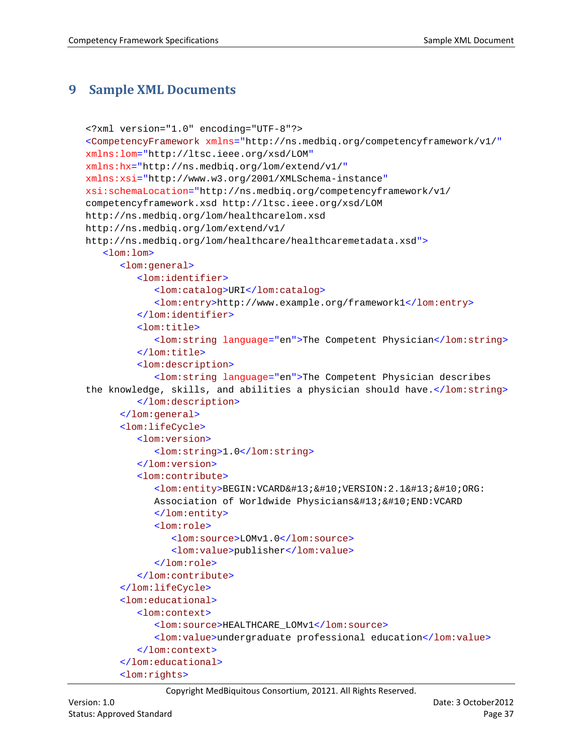# <span id="page-36-0"></span>**9 Sample XML Documents**

```
<?xml version="1.0" encoding="UTF-8"?>
<CompetencyFramework xmlns="http://ns.medbiq.org/competencyframework/v1/"
xmlns:lom="http://ltsc.ieee.org/xsd/LOM"
xmlns:hx="http://ns.medbiq.org/lom/extend/v1/"
xmlns:xsi="http://www.w3.org/2001/XMLSchema-instance"
xsi:schemaLocation="http://ns.medbiq.org/competencyframework/v1/ 
competencyframework.xsd http://ltsc.ieee.org/xsd/LOM 
http://ns.medbiq.org/lom/healthcarelom.xsd 
http://ns.medbiq.org/lom/extend/v1/ 
http://ns.medbiq.org/lom/healthcare/healthcaremetadata.xsd">
   <lom:lom>
      <lom:general>
         <lom:identifier>
            <lom:catalog>URI</lom:catalog>
            <lom:entry>http://www.example.org/framework1</lom:entry>
         </lom:identifier>
         <lom:title>
            <lom:string language="en">The Competent Physician</lom:string>
         </lom:title>
         <lom:description>
            <lom:string language="en">The Competent Physician describes 
the knowledge, skills, and abilities a physician should have.</lom:string>
         </lom:description>
      </lom:general>
      <lom:lifeCycle>
         <lom:version>
            <lom:string>1.0</lom:string>
         </lom:version>
         <lom:contribute>
            \langlelom:entity>BEGIN:VCARD

VERSION:2.1

ORG:
            Association of Worldwide Physicians
END:VCARD
            </lom:entity>
            <lom:role>
               <lom:source>LOMv1.0</lom:source>
               <lom:value>publisher</lom:value>
            </lom:role>
         </lom:contribute>
      </lom:lifeCycle>
      <lom:educational>
         <lom:context>
            <lom:source>HEALTHCARE_LOMv1</lom:source>
            <lom:value>undergraduate professional education</lom:value>
         </lom:context>
      </lom:educational>
      <lom:rights>
```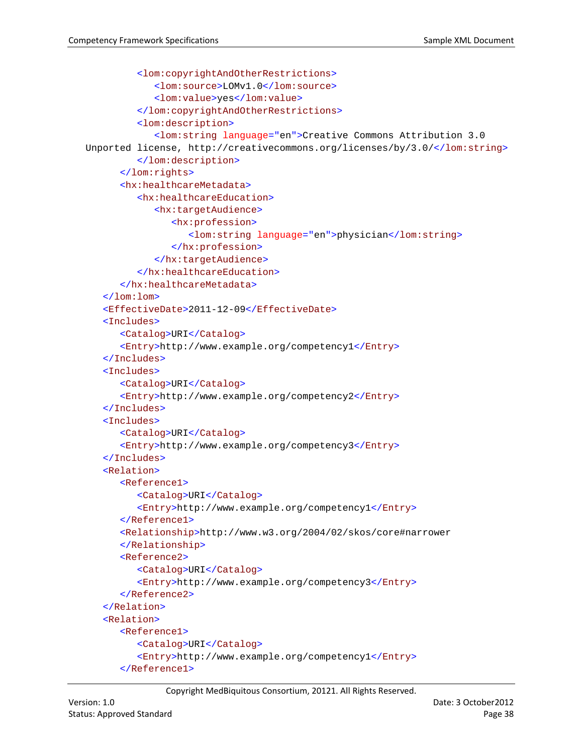```
<lom:copyrightAndOtherRestrictions>
            <lom:source>LOMv1.0</lom:source>
            <lom:value>yes</lom:value>
         </lom:copyrightAndOtherRestrictions>
         <lom:description>
            <lom:string language="en">Creative Commons Attribution 3.0 
Unported license, http://creativecommons.org/licenses/by/3.0/</lom:string>
         </lom:description>
      </lom:rights>
      <hx:healthcareMetadata>
         <hx:healthcareEducation>
            <hx:targetAudience>
               <hx:profession>
                  <lom:string language="en">physician</lom:string>
               </hx:profession>
            </hx:targetAudience>
         </hx:healthcareEducation>
      </hx:healthcareMetadata>
   </lom:lom>
   <EffectiveDate>2011-12-09</EffectiveDate>
   <Includes>
      <Catalog>URI</Catalog>
      <Entry>http://www.example.org/competency1</Entry>
   </Includes>
   <Includes>
      <Catalog>URI</Catalog>
      <Entry>http://www.example.org/competency2</Entry>
   </Includes>
   <Includes>
      <Catalog>URI</Catalog>
      <Entry>http://www.example.org/competency3</Entry>
   </Includes>
   <Relation>
      <Reference1>
         <Catalog>URI</Catalog>
         <Entry>http://www.example.org/competency1</Entry>
      </Reference1>
      <Relationship>http://www.w3.org/2004/02/skos/core#narrower
      </Relationship>
      <Reference2>
         <Catalog>URI</Catalog>
         <Entry>http://www.example.org/competency3</Entry>
      </Reference2>
  </Relation>
   <Relation>
      <Reference1>
         <Catalog>URI</Catalog>
         <Entry>http://www.example.org/competency1</Entry>
      </Reference1>
```
Copyright MedBiquitous Consortium, 20121. All Rights Reserved.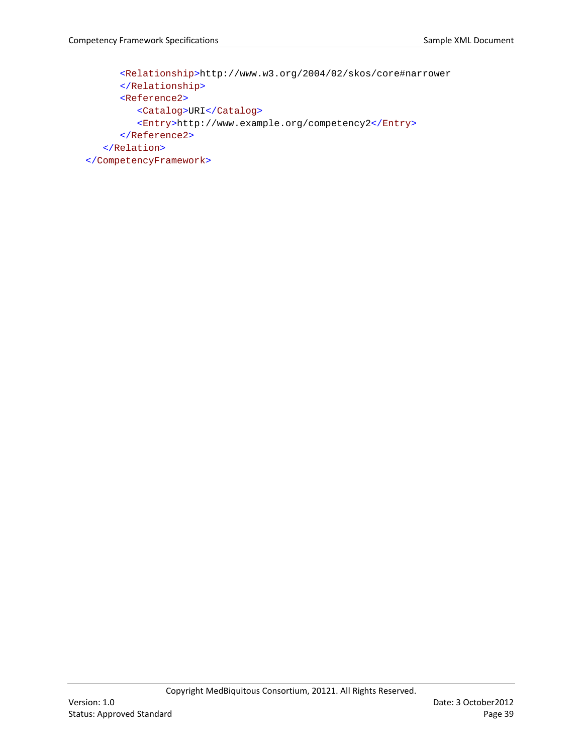```
<Relationship>http://www.w3.org/2004/02/skos/core#narrower
     </Relationship>
      <Reference2>
         <Catalog>URI</Catalog>
         <Entry>http://www.example.org/competency2</Entry>
      </Reference2>
   </Relation>
</CompetencyFramework>
```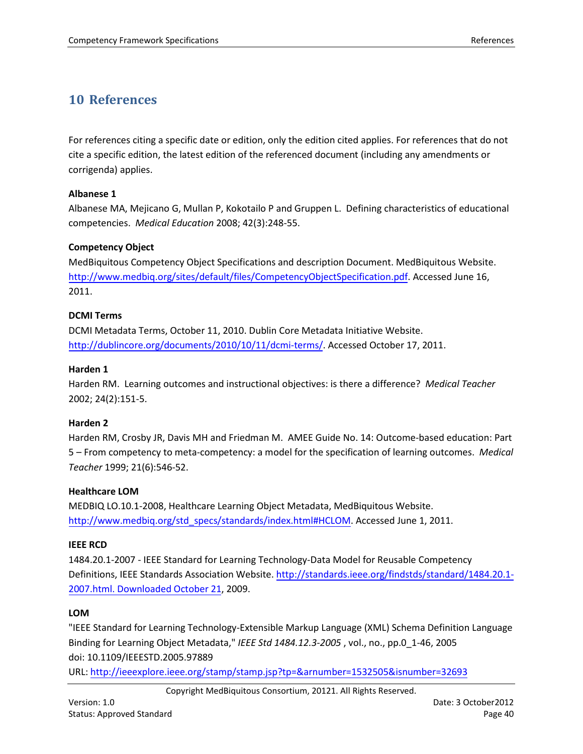# <span id="page-39-0"></span>**10 References**

<span id="page-39-9"></span>For references citing a specific date or edition, only the edition cited applies. For references that do not cite a specific edition, the latest edition of the referenced document (including any amendments or corrigenda) applies.

#### <span id="page-39-1"></span>**Albanese 1**

Albanese MA, Mejicano G, Mullan P, Kokotailo P and Gruppen L. Defining characteristics of educational competencies. *Medical Education* 2008; 42(3):248-55.

#### **Competency Object**

MedBiquitous Competency Object Specifications and description Document. MedBiquitous Website. [http://www.medbiq.org/sites/default/files/CompetencyObjectSpecification.pdf.](http://www.medbiq.org/sites/default/files/CompetencyObjectSpecification.pdf) Accessed June 16, 2011.

#### <span id="page-39-7"></span><span id="page-39-4"></span>**DCMI Terms**

DCMI Metadata Terms, October 11, 2010. Dublin Core Metadata Initiative Website. [http://dublincore.org/documents/2010/10/11/dcmi-terms/.](http://dublincore.org/documents/2010/10/11/dcmi-terms/) Accessed October 17, 2011.

#### **Harden 1**

Harden RM. Learning outcomes and instructional objectives: is there a difference? *Medical Teacher* 2002; 24(2):151-5.

#### <span id="page-39-6"></span>**Harden 2**

<span id="page-39-8"></span>Harden RM, Crosby JR, Davis MH and Friedman M. AMEE Guide No. 14: Outcome-based education: Part 5 – From competency to meta-competency: a model for the specification of learning outcomes. *Medical Teacher* 1999; 21(6):546-52.

#### <span id="page-39-3"></span>**Healthcare LOM**

MEDBIQ LO.10.1-2008, Healthcare Learning Object Metadata, MedBiquitous Website. [http://www.medbiq.org/std\\_specs/standards/index.html#HCLOM.](http://www.medbiq.org/std_specs/standards/index.html#HCLOM) Accessed June 1, 2011.

#### <span id="page-39-2"></span>**IEEE RCD**

1484.20.1-2007 - IEEE Standard for Learning Technology-Data Model for Reusable Competency Definitions, IEEE Standards Association Website. [http://standards.ieee.org/findstds/standard/1484.20.1-](http://standards.ieee.org/findstds/standard/1484.20.1-2007.html.%20Downloaded%20October%2021) [2007.html. Downloaded](http://standards.ieee.org/findstds/standard/1484.20.1-2007.html.%20Downloaded%20October%2021) October 21, 2009.

#### <span id="page-39-5"></span>**LOM**

"IEEE Standard for Learning Technology-Extensible Markup Language (XML) Schema Definition Language Binding for Learning Object Metadata," *IEEE Std 1484.12.3-2005* , vol., no., pp.0\_1-46, 2005 doi: 10.1109/IEEESTD.2005.97889

URL:<http://ieeexplore.ieee.org/stamp/stamp.jsp?tp=&arnumber=1532505&isnumber=32693>

Copyright MedBiquitous Consortium, 20121. All Rights Reserved.